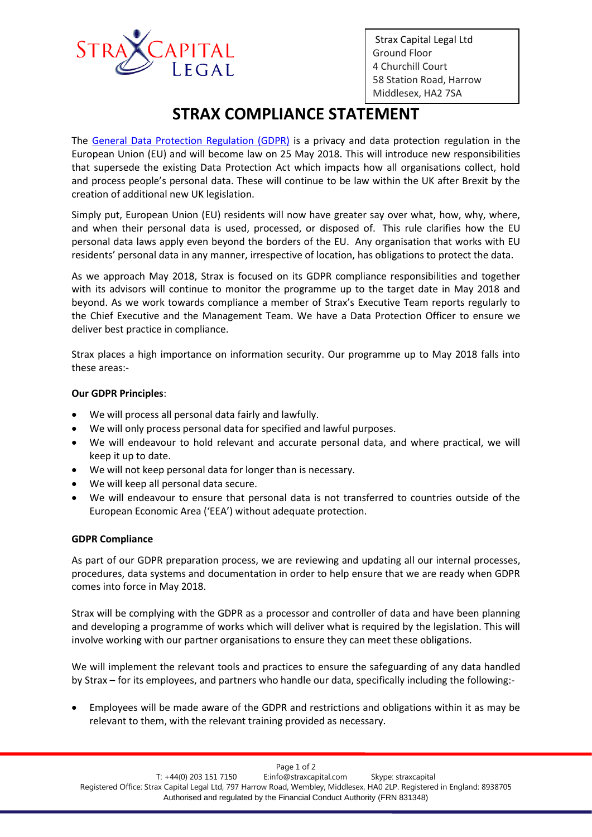

Strax Capital Legal Ltd Ground Floor 4 Churchill Court 58 Station Road, Harrow Middlesex, HA2 7SA

# **STRAX COMPLIANCE STATEMENT**

The [General Data Protection Regulation \(GDPR\)](https://ico.org.uk/for-organisations/guide-to-the-general-data-protection-regulation-gdpr/) is a privacy and data protection regulation in the European Union (EU) and will become law on 25 May 2018. This will introduce new responsibilities that supersede the existing Data Protection Act which impacts how all organisations collect, hold and process people's personal data. These will continue to be law within the UK after Brexit by the creation of additional new UK legislation.

Simply put, European Union (EU) residents will now have greater say over what, how, why, where, and when their personal data is used, processed, or disposed of. This rule clarifies how the EU personal data laws apply even beyond the borders of the EU. Any organisation that works with EU residents' personal data in any manner, irrespective of location, has obligations to protect the data.

As we approach May 2018, Strax is focused on its GDPR compliance responsibilities and together with its advisors will continue to monitor the programme up to the target date in May 2018 and beyond. As we work towards compliance a member of Strax's Executive Team reports regularly to the Chief Executive and the Management Team. We have a Data Protection Officer to ensure we deliver best practice in compliance.

Strax places a high importance on information security. Our programme up to May 2018 falls into these areas:-

### **Our GDPR Principles**:

- We will process all personal data fairly and lawfully.
- We will only process personal data for specified and lawful purposes.
- We will endeavour to hold relevant and accurate personal data, and where practical, we will keep it up to date.
- We will not keep personal data for longer than is necessary.
- We will keep all personal data secure.
- We will endeavour to ensure that personal data is not transferred to countries outside of the European Economic Area ('EEA') without adequate protection.

#### **GDPR Compliance**

As part of our GDPR preparation process, we are reviewing and updating all our internal processes, procedures, data systems and documentation in order to help ensure that we are ready when GDPR comes into force in May 2018.

Strax will be complying with the GDPR as a processor and controller of data and have been planning and developing a programme of works which will deliver what is required by the legislation. This will involve working with our partner organisations to ensure they can meet these obligations.

We will implement the relevant tools and practices to ensure the safeguarding of any data handled by Strax – for its employees, and partners who handle our data, specifically including the following:-

• Employees will be made aware of the GDPR and restrictions and obligations within it as may be relevant to them, with the relevant training provided as necessary.